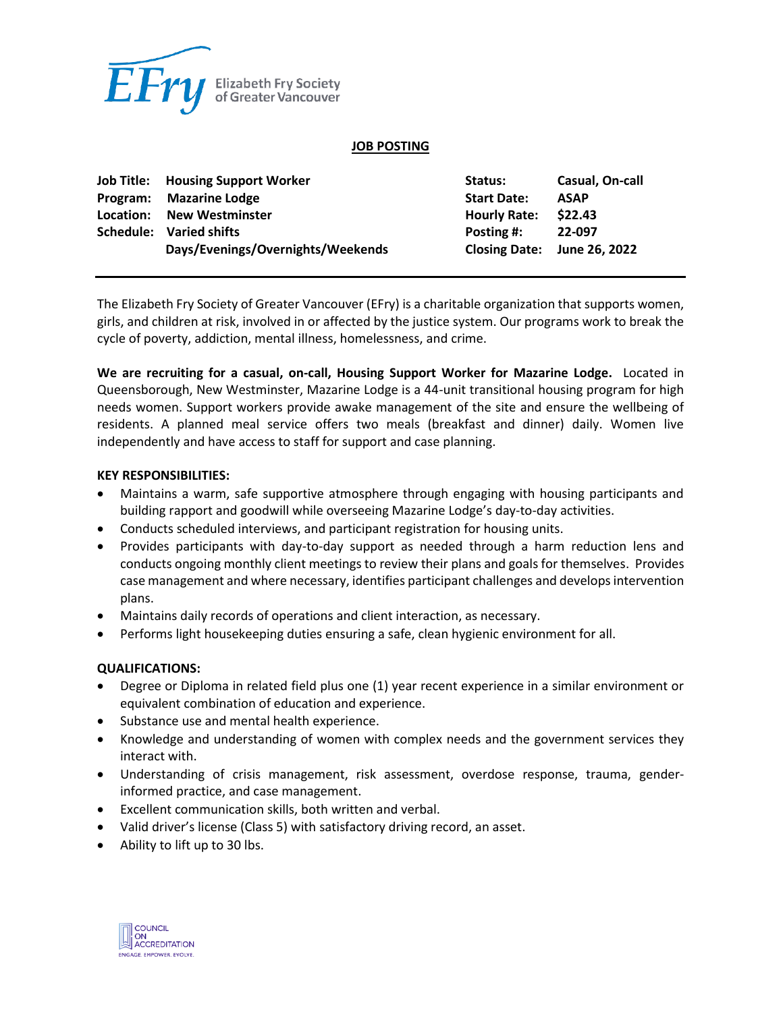

#### **JOB POSTING**

| <b>Job Title: Housing Support Worker</b> | Status:             | Casual, On-call             |
|------------------------------------------|---------------------|-----------------------------|
| Program: Mazarine Lodge                  | <b>Start Date:</b>  | <b>ASAP</b>                 |
| Location: New Westminster                | <b>Hourly Rate:</b> | \$22.43                     |
| Schedule: Varied shifts                  | Posting #:          | 22-097                      |
| Days/Evenings/Overnights/Weekends        |                     | Closing Date: June 26, 2022 |

The Elizabeth Fry Society of Greater Vancouver (EFry) is a charitable organization that supports women, girls, and children at risk, involved in or affected by the justice system. Our programs work to break the cycle of poverty, addiction, mental illness, homelessness, and crime.

**We are recruiting for a casual, on-call, Housing Support Worker for Mazarine Lodge.** Located in Queensborough, New Westminster, Mazarine Lodge is a 44-unit transitional housing program for high needs women. Support workers provide awake management of the site and ensure the wellbeing of residents. A planned meal service offers two meals (breakfast and dinner) daily. Women live independently and have access to staff for support and case planning.

### **KEY RESPONSIBILITIES:**

- Maintains a warm, safe supportive atmosphere through engaging with housing participants and building rapport and goodwill while overseeing Mazarine Lodge's day-to-day activities.
- Conducts scheduled interviews, and participant registration for housing units.
- Provides participants with day-to-day support as needed through a harm reduction lens and conducts ongoing monthly client meetings to review their plans and goals for themselves. Provides case management and where necessary, identifies participant challenges and develops intervention plans.
- Maintains daily records of operations and client interaction, as necessary.
- Performs light housekeeping duties ensuring a safe, clean hygienic environment for all.

## **QUALIFICATIONS:**

- Degree or Diploma in related field plus one (1) year recent experience in a similar environment or equivalent combination of education and experience.
- Substance use and mental health experience.
- Knowledge and understanding of women with complex needs and the government services they interact with.
- Understanding of crisis management, risk assessment, overdose response, trauma, genderinformed practice, and case management.
- Excellent communication skills, both written and verbal.
- Valid driver's license (Class 5) with satisfactory driving record, an asset.
- Ability to lift up to 30 lbs.